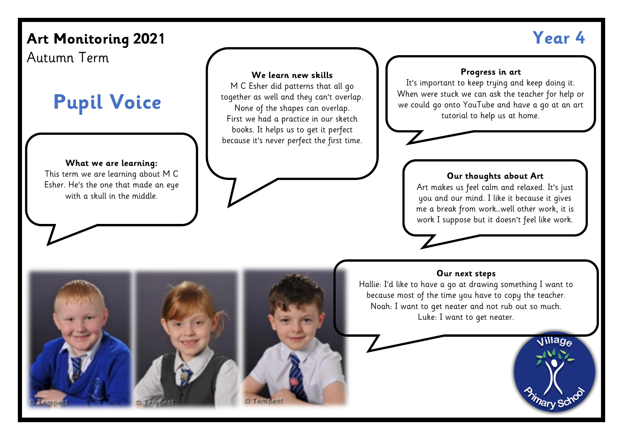